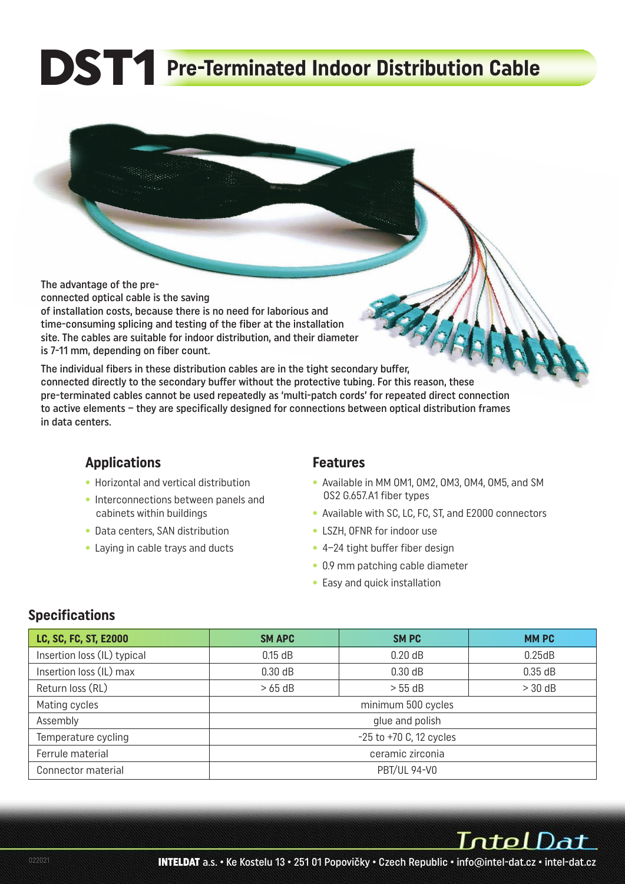# **DST1** Pre-Terminated Indoor Distribution Cable

The advantage of the preconnected optical cable is the saving of installation costs, because there is no need for laborious and time-consuming splicing and testing of the fiber at the installation site. The cables are suitable for indoor distribution, and their diameter is 7-11 mm, depending on fiber count.

The individual fibers in these distribution cables are in the tight secondary buffer, connected directly to the secondary buffer without the protective tubing. For this reason, these pre-terminated cables cannot be used repeatedly as 'multi-patch cords' for repeated direct connection to active elements – they are specifically designed for connections between optical distribution frames in data centers.

### **Applications**

- Horizontal and vertical distribution
- Interconnections between panels and cabinets within buildings
- Data centers, SAN distribution
- Laying in cable trays and ducts

#### **Features**

- Available in MM OM1, OM2, OM3, OM4, OM5, and SM OS2 G.657.A1 fiber types
- Available with SC, LC, FC, ST, and E2000 connectors
- LSZH, OFNR for indoor use
- 4–24 tight buffer fiber design
- 0.9 mm patching cable diameter
- Easy and quick installation

### **Specifications**

| LC, SC, FC, ST, E2000       | <b>SM APC</b>               | <b>SMPC</b> | <b>MMPC</b> |  |  |  |  |  |
|-----------------------------|-----------------------------|-------------|-------------|--|--|--|--|--|
| Insertion loss (IL) typical | $0.15$ dB                   | $0.20$ dB   | 0.25dB      |  |  |  |  |  |
| Insertion loss (IL) max     | 0.30 dB                     | 0.30 dB     | 0.35 dB     |  |  |  |  |  |
| Return loss (RL)            | $>65$ dB                    | > 55 dB     | $> 30$ dB   |  |  |  |  |  |
| Mating cycles               | minimum 500 cycles          |             |             |  |  |  |  |  |
| Assembly                    | glue and polish             |             |             |  |  |  |  |  |
| Temperature cycling         | $-25$ to $+70$ C, 12 cycles |             |             |  |  |  |  |  |
| Ferrule material            | ceramic zirconia            |             |             |  |  |  |  |  |
| Connector material          | <b>PBT/UL 94-V0</b>         |             |             |  |  |  |  |  |

IntelDat